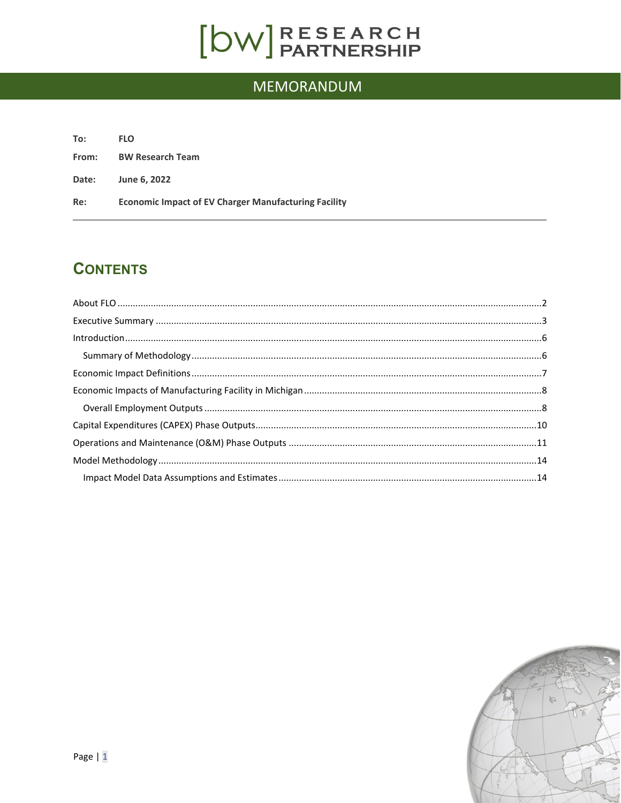# $[DW]$ RESEARCH

## MEMORANDUM

| To:   | <b>FLO</b>                                                  |
|-------|-------------------------------------------------------------|
| From: | <b>BW Research Team</b>                                     |
| Date: | June 6, 2022                                                |
| Re:   | <b>Economic Impact of EV Charger Manufacturing Facility</b> |

### **CONTENTS**

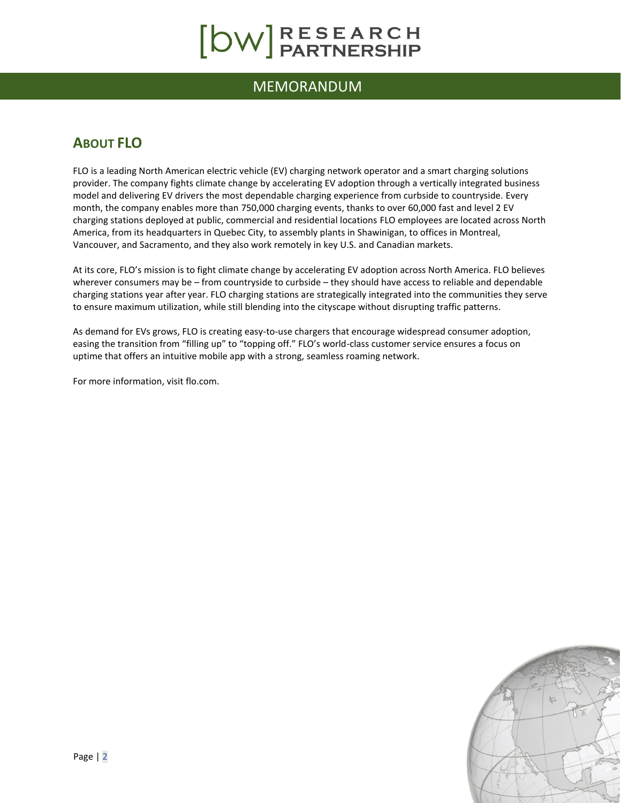# [OW]RESEARCH

### MEMORANDUM

### <span id="page-1-0"></span>**ABOUT FLO**

FLO is a leading North American electric vehicle (EV) charging network operator and a smart charging solutions provider. The company fights climate change by accelerating EV adoption through a vertically integrated business model and delivering EV drivers the most dependable charging experience from curbside to countryside. Every month, the company enables more than 750,000 charging events, thanks to over 60,000 fast and level 2 EV charging stations deployed at public, commercial and residential locations FLO employees are located across North America, from its headquarters in Quebec City, to assembly plants in Shawinigan, to offices in Montreal, Vancouver, and Sacramento, and they also work remotely in key U.S. and Canadian markets.

At its core, FLO's mission is to fight climate change by accelerating EV adoption across North America. FLO believes wherever consumers may be – from countryside to curbside – they should have access to reliable and dependable charging stations year after year. FLO charging stations are strategically integrated into the communities they serve to ensure maximum utilization, while still blending into the cityscape without disrupting traffic patterns.

As demand for EVs grows, FLO is creating easy-to-use chargers that encourage widespread consumer adoption, easing the transition from "filling up" to "topping off." FLO's world-class customer service ensures a focus on uptime that offers an intuitive mobile app with a strong, seamless roaming network.

For more information, visit flo.com.

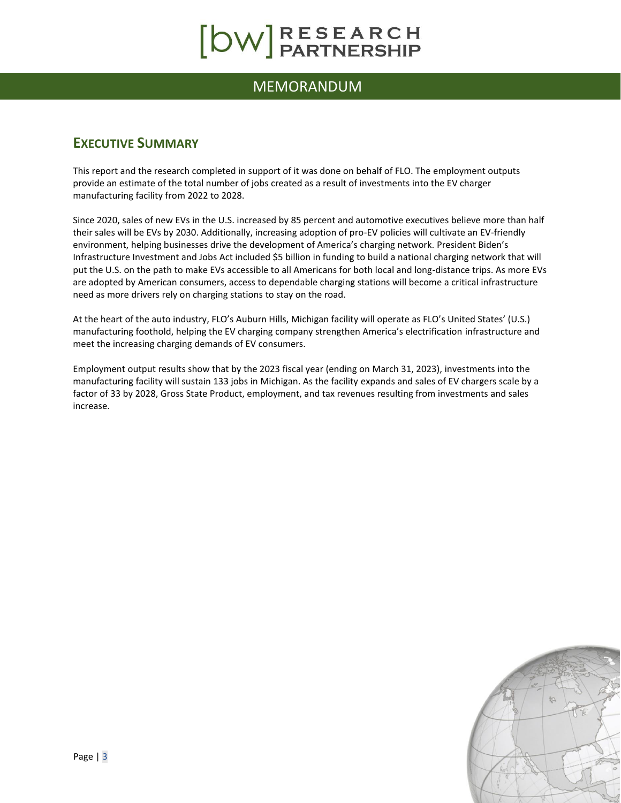### MEMORANDUM

### <span id="page-2-0"></span>**EXECUTIVE SUMMARY**

This report and the research completed in support of it was done on behalf of FLO. The employment outputs provide an estimate of the total number of jobs created as a result of investments into the EV charger manufacturing facility from 2022 to 2028.

Since 2020, sales of new EVs in the U.S. increased by 85 percent and automotive executives believe more than half their sales will be EVs by 2030. Additionally, increasing adoption of pro-EV policies will cultivate an EV-friendly environment, helping businesses drive the development of America's charging network. President Biden's Infrastructure Investment and Jobs Act included \$5 billion in funding to build a national charging network that will put the U.S. on the path to make EVs accessible to all Americans for both local and long-distance trips. As more EVs are adopted by American consumers, access to dependable charging stations will become a critical infrastructure need as more drivers rely on charging stations to stay on the road.

At the heart of the auto industry, FLO's Auburn Hills, Michigan facility will operate as FLO's United States' (U.S.) manufacturing foothold, helping the EV charging company strengthen America's electrification infrastructure and meet the increasing charging demands of EV consumers.

Employment output results show that by the 2023 fiscal year (ending on March 31, 2023), investments into the manufacturing facility will sustain 133 jobs in Michigan. As the facility expands and sales of EV chargers scale by a factor of 33 by 2028, Gross State Product, employment, and tax revenues resulting from investments and sales increase.

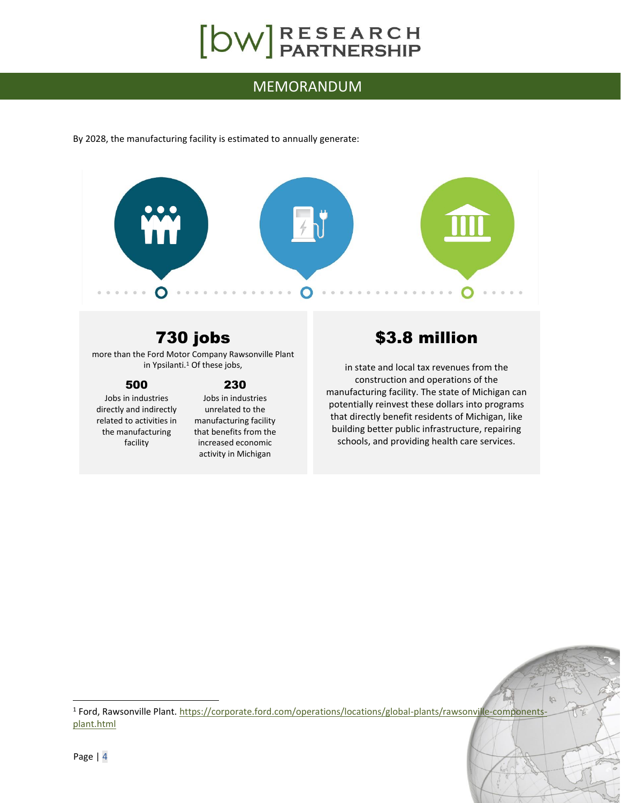# $[DW]$ RESEARCH

### MEMORANDUM

By 2028, the manufacturing facility is estimated to annually generate:



## 730 jobs

more than the Ford Motor Company Rawsonville Plant in Ypsilanti.<sup>1</sup> Of these jobs,

#### 500

Jobs in industries directly and indirectly related to activities in the manufacturing facility

#### 230

Jobs in industries unrelated to the manufacturing facility that benefits from the increased economic activity in Michigan

## \$3.8 million

in state and local tax revenues from the construction and operations of the manufacturing facility. The state of Michigan can potentially reinvest these dollars into programs that directly benefit residents of Michigan, like building better public infrastructure, repairing schools, and providing health care services.

<sup>&</sup>lt;sup>1</sup> Ford, Rawsonville Plant. [https://corporate.ford.com/operations/locations/global-plants/rawsonville-components](https://corporate.ford.com/operations/locations/global-plants/rawsonville-components-plant.html)[plant.html](https://corporate.ford.com/operations/locations/global-plants/rawsonville-components-plant.html)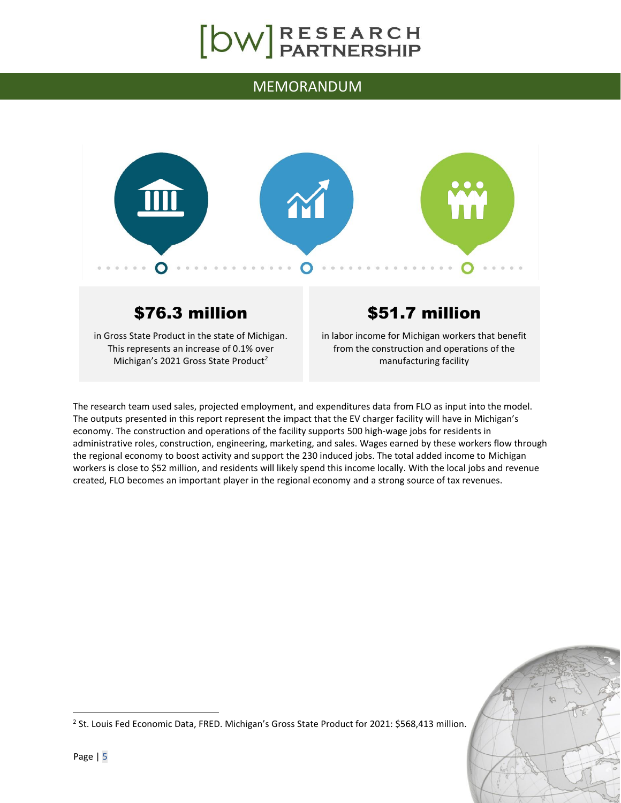### MEMORANDUM



## \$76.3 million

in Gross State Product in the state of Michigan. This represents an increase of 0.1% over Michigan's 2021 Gross State Product<sup>2</sup>

## \$51.7 million

in labor income for Michigan workers that benefit from the construction and operations of the manufacturing facility

The research team used sales, projected employment, and expenditures data from FLO as input into the model. The outputs presented in this report represent the impact that the EV charger facility will have in Michigan's economy. The construction and operations of the facility supports 500 high-wage jobs for residents in administrative roles, construction, engineering, marketing, and sales. Wages earned by these workers flow through the regional economy to boost activity and support the 230 induced jobs. The total added income to Michigan workers is close to \$52 million, and residents will likely spend this income locally. With the local jobs and revenue created, FLO becomes an important player in the regional economy and a strong source of tax revenues.



<sup>2</sup> St. Louis Fed Economic Data, FRED. Michigan's Gross State Product for 2021: \$568,413 million.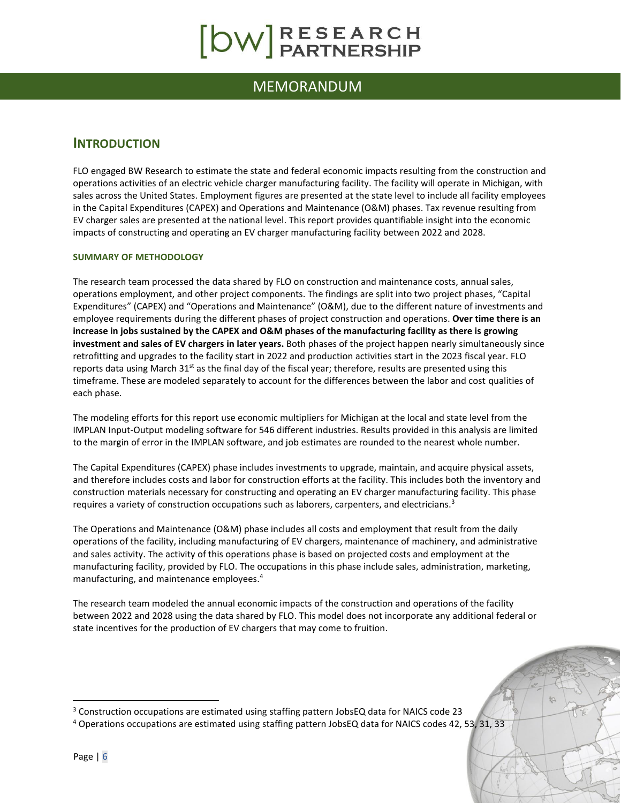### MEMORANDUM

#### <span id="page-5-0"></span>**INTRODUCTION**

FLO engaged BW Research to estimate the state and federal economic impacts resulting from the construction and operations activities of an electric vehicle charger manufacturing facility. The facility will operate in Michigan, with sales across the United States. Employment figures are presented at the state level to include all facility employees in the Capital Expenditures (CAPEX) and Operations and Maintenance (O&M) phases. Tax revenue resulting from EV charger sales are presented at the national level. This report provides quantifiable insight into the economic impacts of constructing and operating an EV charger manufacturing facility between 2022 and 2028.

#### <span id="page-5-1"></span>**SUMMARY OF METHODOLOGY**

The research team processed the data shared by FLO on construction and maintenance costs, annual sales, operations employment, and other project components. The findings are split into two project phases, "Capital Expenditures" (CAPEX) and "Operations and Maintenance" (O&M), due to the different nature of investments and employee requirements during the different phases of project construction and operations. **Over time there is an increase in jobs sustained by the CAPEX and O&M phases of the manufacturing facility as there is growing investment and sales of EV chargers in later years.** Both phases of the project happen nearly simultaneously since retrofitting and upgrades to the facility start in 2022 and production activities start in the 2023 fiscal year. FLO reports data using March 31<sup>st</sup> as the final day of the fiscal year; therefore, results are presented using this timeframe. These are modeled separately to account for the differences between the labor and cost qualities of each phase.

The modeling efforts for this report use economic multipliers for Michigan at the local and state level from the IMPLAN Input-Output modeling software for 546 different industries. Results provided in this analysis are limited to the margin of error in the IMPLAN software, and job estimates are rounded to the nearest whole number.

The Capital Expenditures (CAPEX) phase includes investments to upgrade, maintain, and acquire physical assets, and therefore includes costs and labor for construction efforts at the facility. This includes both the inventory and construction materials necessary for constructing and operating an EV charger manufacturing facility. This phase requires a variety of construction occupations such as laborers, carpenters, and electricians.<sup>3</sup>

The Operations and Maintenance (O&M) phase includes all costs and employment that result from the daily operations of the facility, including manufacturing of EV chargers, maintenance of machinery, and administrative and sales activity. The activity of this operations phase is based on projected costs and employment at the manufacturing facility, provided by FLO. The occupations in this phase include sales, administration, marketing, manufacturing, and maintenance employees. 4

The research team modeled the annual economic impacts of the construction and operations of the facility between 2022 and 2028 using the data shared by FLO. This model does not incorporate any additional federal or state incentives for the production of EV chargers that may come to fruition.

<sup>&</sup>lt;sup>3</sup> Construction occupations are estimated using staffing pattern JobsEQ data for NAICS code 23

<sup>4</sup> Operations occupations are estimated using staffing pattern JobsEQ data for NAICS codes 42, 53, 31, 33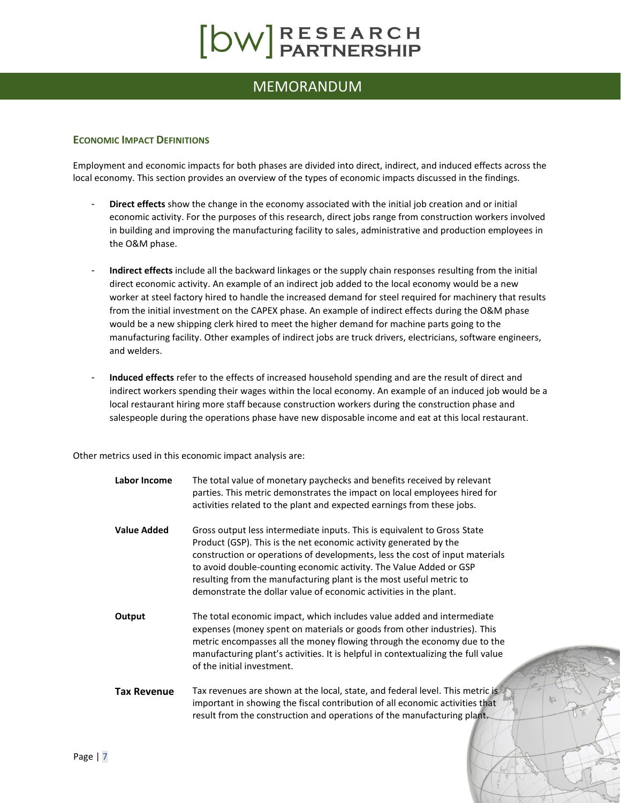### MEMORANDUM

#### <span id="page-6-0"></span>**ECONOMIC IMPACT DEFINITIONS**

Employment and economic impacts for both phases are divided into direct, indirect, and induced effects across the local economy. This section provides an overview of the types of economic impacts discussed in the findings.

- **Direct effects** show the change in the economy associated with the initial job creation and or initial economic activity. For the purposes of this research, direct jobs range from construction workers involved in building and improving the manufacturing facility to sales, administrative and production employees in the O&M phase.
- **Indirect effects** include all the backward linkages or the supply chain responses resulting from the initial direct economic activity. An example of an indirect job added to the local economy would be a new worker at steel factory hired to handle the increased demand for steel required for machinery that results from the initial investment on the CAPEX phase. An example of indirect effects during the O&M phase would be a new shipping clerk hired to meet the higher demand for machine parts going to the manufacturing facility. Other examples of indirect jobs are truck drivers, electricians, software engineers, and welders.
- **Induced effects** refer to the effects of increased household spending and are the result of direct and indirect workers spending their wages within the local economy. An example of an induced job would be a local restaurant hiring more staff because construction workers during the construction phase and salespeople during the operations phase have new disposable income and eat at this local restaurant.

Other metrics used in this economic impact analysis are:

**Labor Income** The total value of monetary paychecks and benefits received by relevant parties. This metric demonstrates the impact on local employees hired for activities related to the plant and expected earnings from these jobs. **Value Added** Gross output less intermediate inputs. This is equivalent to Gross State Product (GSP). This is the net economic activity generated by the construction or operations of developments, less the cost of input materials to avoid double-counting economic activity. The Value Added or GSP resulting from the manufacturing plant is the most useful metric to demonstrate the dollar value of economic activities in the plant. **Output** The total economic impact, which includes value added and intermediate expenses (money spent on materials or goods from other industries). This metric encompasses all the money flowing through the economy due to the manufacturing plant's activities. It is helpful in contextualizing the full value of the initial investment. **Tax Revenue** Tax revenues are shown at the local, state, and federal level. This metric is important in showing the fiscal contribution of all economic activities that result from the construction and operations of the manufacturing plant.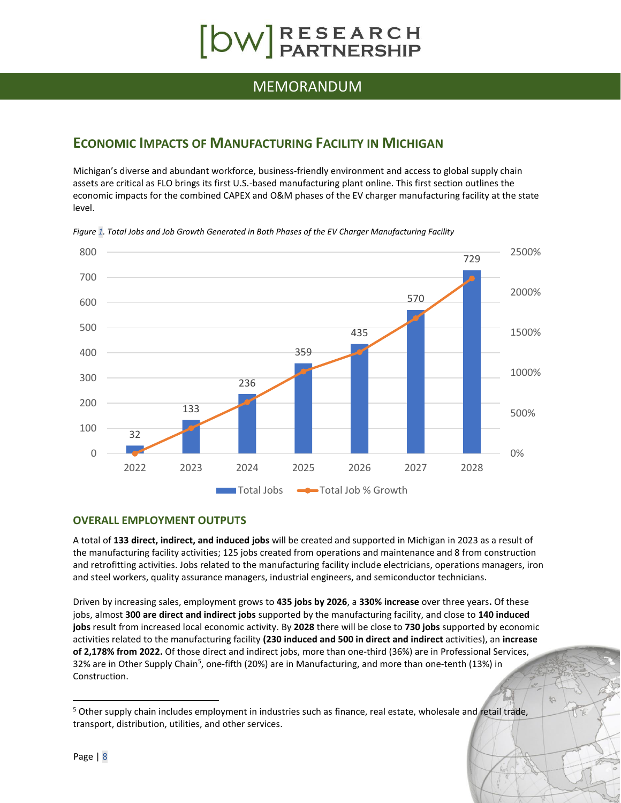# $\begin{bmatrix} \text{DW} \\ \text{PARTNERSHP} \end{bmatrix}$

#### MEMORANDUM

#### <span id="page-7-0"></span>**ECONOMIC IMPACTS OF MANUFACTURING FACILITY IN MICHIGAN**

Michigan's diverse and abundant workforce, business-friendly environment and access to global supply chain assets are critical as FLO brings its first U.S.-based manufacturing plant online. This first section outlines the economic impacts for the combined CAPEX and O&M phases of the EV charger manufacturing facility at the state level.



*Figure 1. Total Jobs and Job Growth Generated in Both Phases of the EV Charger Manufacturing Facility*

#### <span id="page-7-1"></span>**OVERALL EMPLOYMENT OUTPUTS**

A total of **133 direct, indirect, and induced jobs** will be created and supported in Michigan in 2023 as a result of the manufacturing facility activities; 125 jobs created from operations and maintenance and 8 from construction and retrofitting activities. Jobs related to the manufacturing facility include electricians, operations managers, iron and steel workers, quality assurance managers, industrial engineers, and semiconductor technicians.

Driven by increasing sales, employment grows to **435 jobs by 2026**, a **330% increase** over three years**.** Of these jobs, almost **300 are direct and indirect jobs** supported by the manufacturing facility, and close to **140 induced jobs** result from increased local economic activity. By **2028** there will be close to **730 jobs** supported by economic activities related to the manufacturing facility **(230 induced and 500 in direct and indirect** activities), an **increase of 2,178% from 2022.** Of those direct and indirect jobs, more than one-third (36%) are in Professional Services, 32% are in Other Supply Chain<sup>5</sup>, one-fifth (20%) are in Manufacturing, and more than one-tenth (13%) in Construction.

<sup>&</sup>lt;sup>5</sup> Other supply chain includes employment in industries such as finance, real estate, wholesale and retail trade, transport, distribution, utilities, and other services.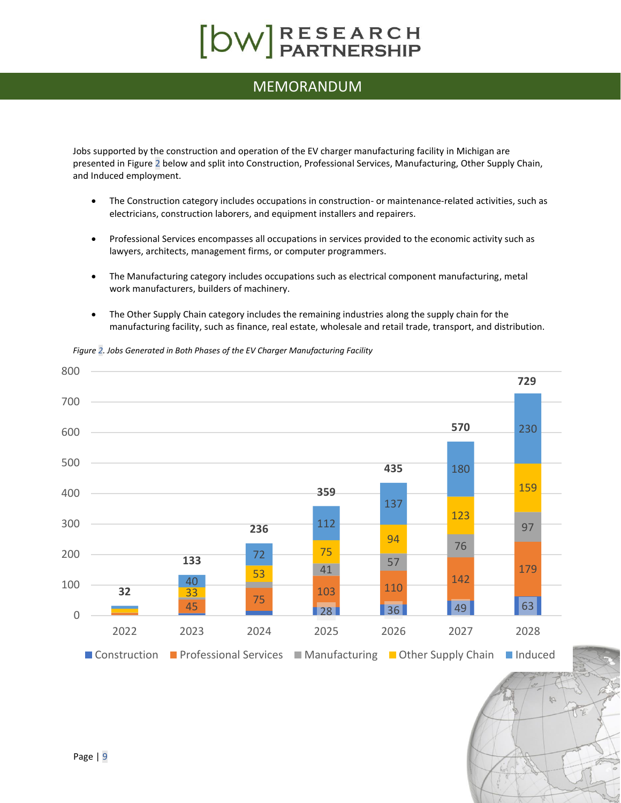### MEMORANDUM

Jobs supported by the construction and operation of the EV charger manufacturing facility in Michigan are presented i[n Figure 2](#page-8-0) below and split into Construction, Professional Services, Manufacturing, Other Supply Chain, and Induced employment.

- The Construction category includes occupations in construction- or maintenance-related activities, such as electricians, construction laborers, and equipment installers and repairers.
- Professional Services encompasses all occupations in services provided to the economic activity such as lawyers, architects, management firms, or computer programmers.
- The Manufacturing category includes occupations such as electrical component manufacturing, metal work manufacturers, builders of machinery.
- The Other Supply Chain category includes the remaining industries along the supply chain for the manufacturing facility, such as finance, real estate, wholesale and retail trade, transport, and distribution.

45 75 28 36 49 63 103 110 41 57 57 179 2023 2024 2025 2026 2027 2028 ■ Construction ■ Professional Services ■ Manufacturing ■ Other Supply Chain ■ Induced

<span id="page-8-0"></span>*Figure 2. Jobs Generated in Both Phases of the EV Charger Manufacturing Facility*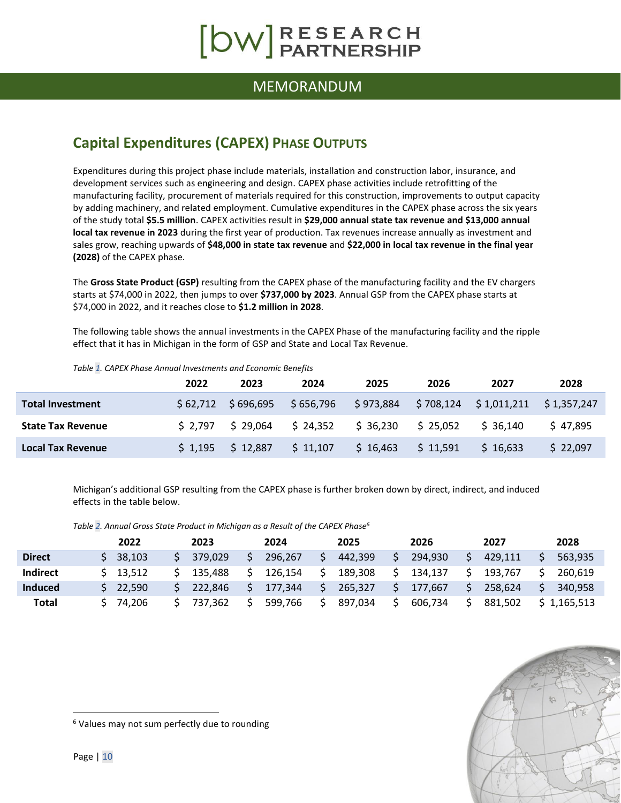### MEMORANDUM

## <span id="page-9-0"></span>**Capital Expenditures (CAPEX) PHASE OUTPUTS**

Expenditures during this project phase include materials, installation and construction labor, insurance, and development services such as engineering and design. CAPEX phase activities include retrofitting of the manufacturing facility, procurement of materials required for this construction, improvements to output capacity by adding machinery, and related employment. Cumulative expenditures in the CAPEX phase across the six years of the study total **\$5.5 million**. CAPEX activities result in **\$29,000 annual state tax revenue and \$13,000 annual local tax revenue in 2023** during the first year of production. Tax revenues increase annually as investment and sales grow, reaching upwards of **\$48,000 in state tax revenue** and **\$22,000 in local tax revenue in the final year (2028)** of the CAPEX phase.

The **Gross State Product (GSP)** resulting from the CAPEX phase of the manufacturing facility and the EV chargers starts at \$74,000 in 2022, then jumps to over **\$737,000 by 2023**. Annual GSP from the CAPEX phase starts at \$74,000 in 2022, and it reaches close to **\$1.2 million in 2028**.

The following table shows the annual investments in the CAPEX Phase of the manufacturing facility and the ripple effect that it has in Michigan in the form of GSP and State and Local Tax Revenue.

|                          | 2022         | 2023       | 2024      | 2025      | 2026     | 2027                                 | 2028     |
|--------------------------|--------------|------------|-----------|-----------|----------|--------------------------------------|----------|
| <b>Total Investment</b>  | \$ 62.712    | \$ 696.695 | \$656.796 | \$973,884 |          | $$708,124$ $$1,011,211$ $$1,357,247$ |          |
| <b>State Tax Revenue</b> | \$ 2.797     | \$29.064   | \$24,352  | \$36,230  | \$25.052 | \$36.140                             | \$47.895 |
| <b>Local Tax Revenue</b> | $5 \; 1.195$ | \$12,887   | \$11,107  | \$16.463  | \$11,591 | \$16.633                             | \$22.097 |

*Table 1. CAPEX Phase Annual Investments and Economic Benefits*

Michigan's additional GSP resulting from the CAPEX phase is further broken down by direct, indirect, and induced effects in the table below.

| Table 2. Annual Gross State Product in Michigan as a Result of the CAPEX Phase <sup>6</sup> |  |  |
|---------------------------------------------------------------------------------------------|--|--|
|---------------------------------------------------------------------------------------------|--|--|

|                 | 2022   | 2023    | 2024    | 2025    |   | 2026    | 2027    | 2028      |
|-----------------|--------|---------|---------|---------|---|---------|---------|-----------|
| <b>Direct</b>   | 38.103 | 379.029 | 296.267 | 442.399 | ς | 294,930 | 429.111 | 563.935   |
| <b>Indirect</b> | 13.512 | 135.488 | 126.154 | 189,308 |   | 134.137 | 193.767 | 260.619   |
| Induced         | 22.590 | 222.846 | 177.344 | 265.327 |   | 177.667 | 258.624 | 340.958   |
| <b>Total</b>    | 74.206 | 737.362 | 599.766 | 897.034 | S | 606.734 | 881.502 | 1.165.513 |



<sup>6</sup> Values may not sum perfectly due to rounding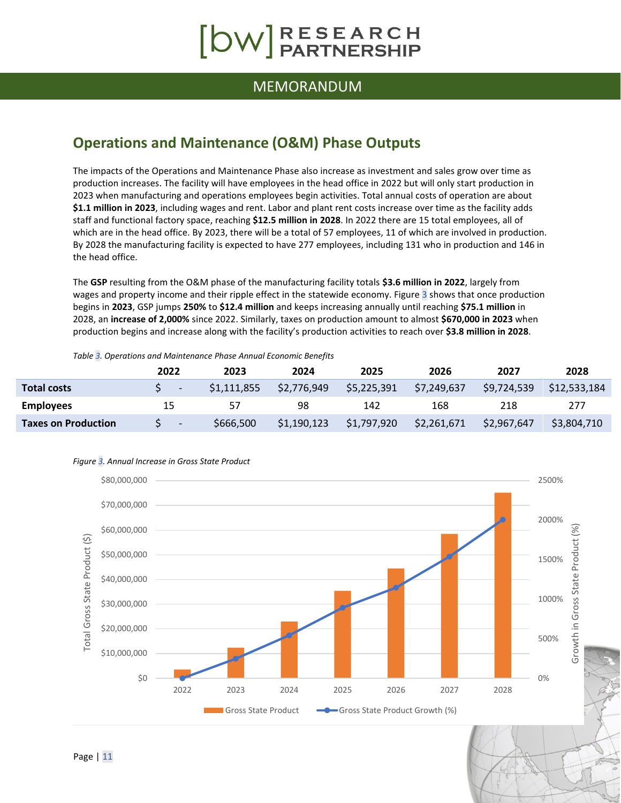# $\begin{bmatrix} \text{DW} \text{RESEARCH} \\ \text{PARTNERSHIP} \end{bmatrix}$

#### MEMORANDUM

### <span id="page-10-0"></span>**Operations and Maintenance (O&M) Phase Outputs**

The impacts of the Operations and Maintenance Phase also increase as investment and sales grow over time as production increases. The facility will have employees in the head office in 2022 but will only start production in 2023 when manufacturing and operations employees begin activities. Total annual costs of operation are about **\$1.1 million in 2023**, including wages and rent. Labor and plant rent costs increase over time as the facility adds staff and functional factory space, reaching **\$12.5 million in 2028**. In 2022 there are 15 total employees, all of which are in the head office. By 2023, there will be a total of 57 employees, 11 of which are involved in production. By 2028 the manufacturing facility is expected to have 277 employees, including 131 who in production and 146 in the head office.

The **GSP** resulting from the O&M phase of the manufacturing facility totals **\$3.6 million in 2022**, largely from wages and property income and their ripple effect in the statewide economy[. Figure 3](#page-10-1) shows that once production begins in **2023**, GSP jumps **250%** to **\$12.4 million** and keeps increasing annually until reaching **\$75.1 million** in 2028, an **increase of 2,000%** since 2022. Similarly, taxes on production amount to almost **\$670,000 in 2023** when production begins and increase along with the facility's production activities to reach over **\$3.8 million in 2028**.

#### *Table 3. Operations and Maintenance Phase Annual Economic Benefits*

|                            | 2022                     | 2023        | 2024        | 2025        | 2026        | 2027        | 2028         |
|----------------------------|--------------------------|-------------|-------------|-------------|-------------|-------------|--------------|
| <b>Total costs</b>         |                          | \$1,111,855 | \$2,776,949 | \$5,225,391 | \$7,249,637 | \$9,724,539 | \$12,533,184 |
| <b>Employees</b>           | 15                       | 57          | 98          | 142         | 168         | 218         | 277          |
| <b>Taxes on Production</b> | $\overline{\phantom{a}}$ | \$666,500   | \$1,190,123 | \$1,797,920 | \$2,261,671 | \$2,967,647 | \$3,804,710  |



#### <span id="page-10-1"></span>*Figure 3. Annual Increase in Gross State Product*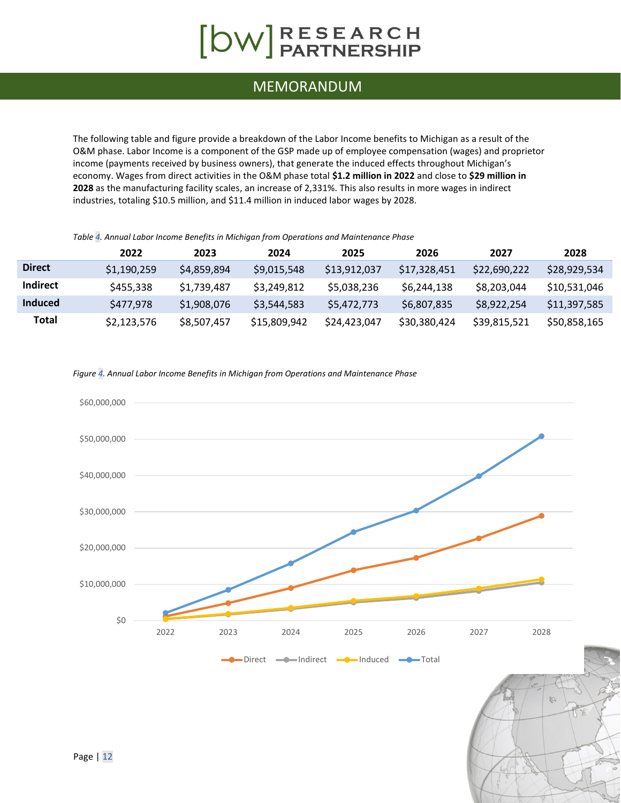# [OW]RESEARCH

### MEMORANDUM

The following table and figure provide a breakdown of the Labor Income benefits to Michigan as a result of the O&M phase. Labor Income is a component of the GSP made up of employee compensation (wages) and proprietor income (payments received by business owners), that generate the induced effects throughout Michigan's economy. Wages from direct activities in the O&M phase total **\$1.2 million in 2022** and close to **\$29 million in 2028** as the manufacturing facility scales, an increase of 2,331%. This also results in more wages in indirect industries, totaling \$10.5 million, and \$11.4 million in induced labor wages by 2028.

*Table 4. Annual Labor Income Benefits in Michigan from Operations and Maintenance Phase*

|                 | 2022        | 2023        | 2024         | 2025         | 2026         | 2027         | 2028         |
|-----------------|-------------|-------------|--------------|--------------|--------------|--------------|--------------|
| <b>Direct</b>   | \$1,190,259 | \$4,859,894 | \$9,015,548  | \$13,912,037 | \$17.328.451 | \$22,690,222 | \$28.929.534 |
| <b>Indirect</b> | \$455,338   | \$1,739,487 | \$3,249.812  | \$5,038,236  | \$6,244,138  | \$8,203,044  | \$10,531,046 |
| Induced         | \$477,978   | \$1,908,076 | \$3.544.583  | \$5,472,773  | \$6,807,835  | \$8.922.254  | \$11,397,585 |
| Total           | \$2,123,576 | \$8,507,457 | \$15,809,942 | \$24,423,047 | \$30,380,424 | \$39,815,521 | \$50,858,165 |

*Figure 4. Annual Labor Income Benefits in Michigan from Operations and Maintenance Phase*

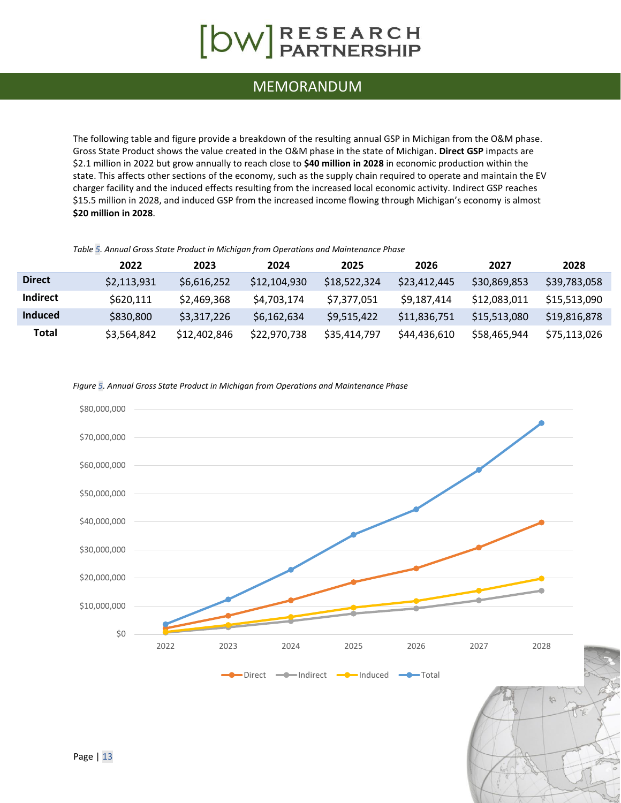### MEMORANDUM

The following table and figure provide a breakdown of the resulting annual GSP in Michigan from the O&M phase. Gross State Product shows the value created in the O&M phase in the state of Michigan. **Direct GSP** impacts are \$2.1 million in 2022 but grow annually to reach close to **\$40 million in 2028** in economic production within the state. This affects other sections of the economy, such as the supply chain required to operate and maintain the EV charger facility and the induced effects resulting from the increased local economic activity. Indirect GSP reaches \$15.5 million in 2028, and induced GSP from the increased income flowing through Michigan's economy is almost **\$20 million in 2028**.

#### *Table 5. Annual Gross State Product in Michigan from Operations and Maintenance Phase*

|               | 2022        | 2023         | 2024         | 2025         | 2026         | 2027         | 2028         |
|---------------|-------------|--------------|--------------|--------------|--------------|--------------|--------------|
| <b>Direct</b> | \$2,113,931 | \$6,616,252  | \$12,104,930 | \$18,522,324 | \$23,412,445 | \$30,869,853 | \$39,783,058 |
| Indirect      | \$620,111   | \$2,469,368  | \$4,703,174  | \$7,377,051  | \$9,187,414  | \$12,083,011 | \$15.513.090 |
| Induced       | \$830,800   | \$3,317,226  | \$6,162,634  | \$9,515,422  | \$11,836,751 | \$15,513,080 | \$19,816,878 |
| Total         | \$3,564,842 | \$12,402,846 | \$22,970,738 | \$35,414,797 | \$44,436,610 | \$58,465,944 | \$75.113.026 |

#### *Figure 5. Annual Gross State Product in Michigan from Operations and Maintenance Phase*